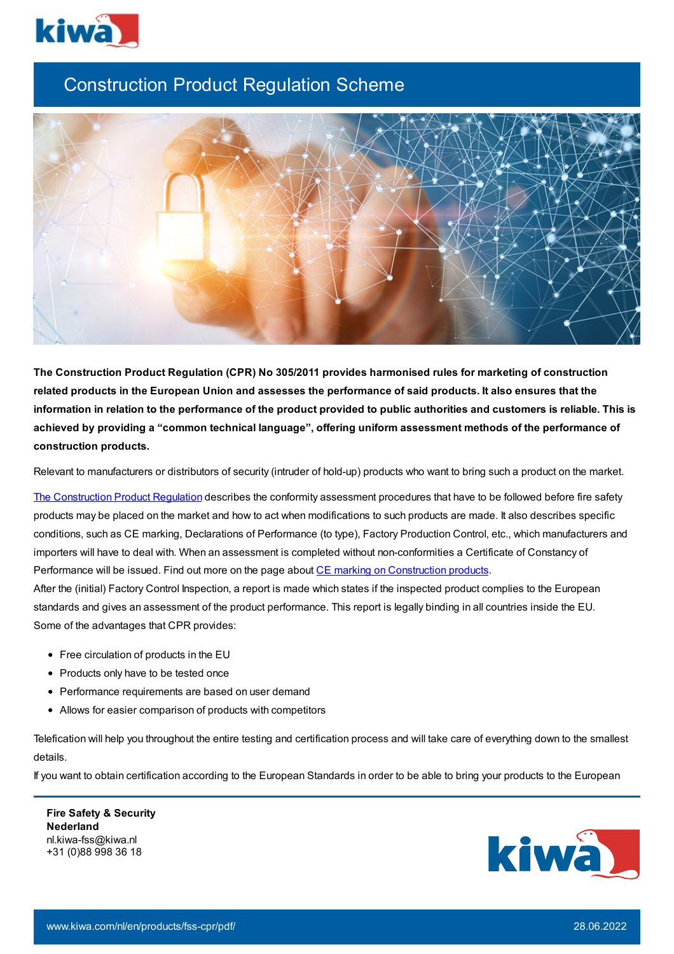

## Construction Product Regulation Scheme



**The Construction Product Regulation (CPR) No 305/2011 provides harmonised rules for marketing of construction** related products in the European Union and assesses the performance of said products. It also ensures that the information in relation to the performance of the product provided to public authorities and customers is reliable. This is **achieved by providing a "common technical language", offering uniform assessment methods of the performance of construction products.**

Relevant to manufacturers or distributors of security (intruder of hold-up) products who want to bring such a product on the market.

The [Construction](https://eur-lex.europa.eu/legal-content/EN/TXT/PDF/?uri=CELEX:32011R0305&from=EN?) Product Regulation describes the conformity assessment procedures that have to be followed before fire safety products may be placed on the market and how to act when modifications to such products are made. It also describes specific conditions, such as CE marking, Declarations of Performance (to type), Factory Production Control, etc., which manufacturers and importers will have to deal with. When an assessment is completed without non-conformities a Certificate of Constancy of Performance will be issued. Find out more on the page about CE marking on [Construction](https://www.kiwa.com/nl/en/products/ce-marking-on-construction-products/) products.

After the (initial) Factory Control Inspection, a report is made which states if the inspected product complies to the European standards and gives an assessment of the product performance. This report is legally binding in all countries inside the EU. Some of the advantages that CPR provides:

- Free circulation of products in the EU
- Products only have to be tested once
- Performance requirements are based on user demand
- Allows for easier comparison of products with competitors

Telefication will help you throughout the entire testing and certification process and will take care of everything down to the smallest details.

If you want to obtain certification according to the European Standards in order to be able to bring your products to the European

**Fire Safety & Security Nederland** nl.kiwa-fss@kiwa.nl +31 (0)88 998 36 18